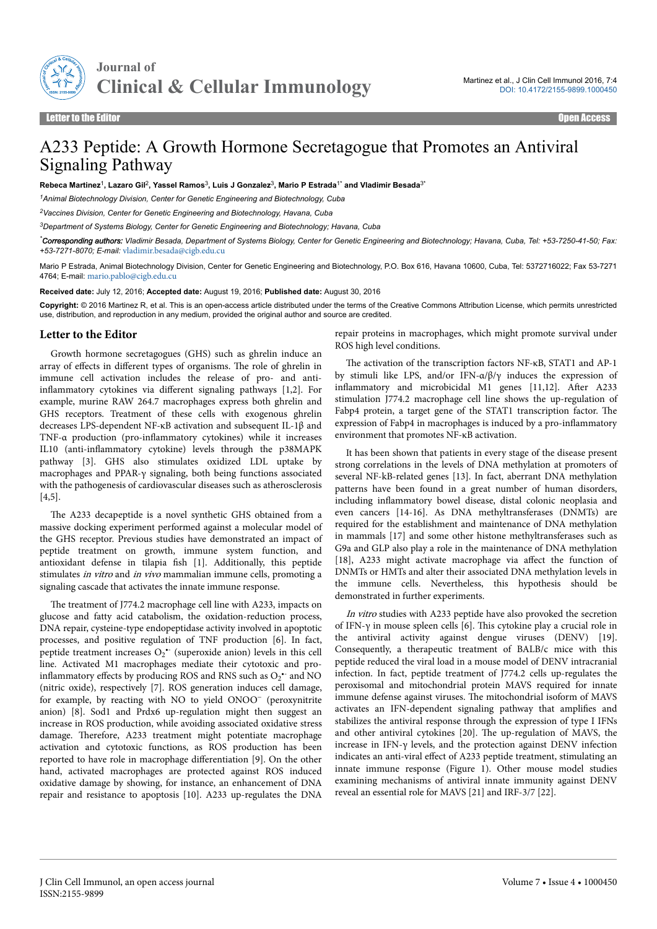

## A233 Peptide: A Growth Hormone Secretagogue that Promotes an Antiviral Signaling Pathway

**Rebeca Martinez**<sup>1</sup> **, Lazaro Gil**<sup>2</sup> **, Yassel Ramos**<sup>3</sup> **, Luis J Gonzalez**<sup>3</sup> **, Mario P Estrada**1\* **and Vladimir Besada**3\*

*<sup>1</sup>Animal Biotechnology Division, Center for Genetic Engineering and Biotechnology, Cuba*

*<sup>2</sup>Vaccines Division, Center for Genetic Engineering and Biotechnology, Havana, Cuba*

*<sup>3</sup>Department of Systems Biology, Center for Genetic Engineering and Biotechnology; Havana, Cuba*

*\*Corresponding authors: Vladimir Besada, Department of Systems Biology, Center for Genetic Engineering and Biotechnology; Havana, Cuba, Tel: +53-7250-41-50; Fax: +53-7271-8070; E-mail:* [vladimir.besada@cigb.edu.cu](mailto:vladimir.besada@cigb.edu.cu)

Mario P Estrada, Animal Biotechnology Division, Center for Genetic Engineering and Biotechnology, P.O. Box 616, Havana 10600, Cuba, Tel: 5372716022; Fax 53-7271 4764; E-mail: [mario.pablo@cigb.edu.cu](mailto:mario.pablo@cigb.edu.cu)

**Received date:** July 12, 2016; **Accepted date:** August 19, 2016; **Published date:** August 30, 2016

**Copyright:** © 2016 Martinez R, et al. This is an open-access article distributed under the terms of the Creative Commons Attribution License, which permits unrestricted use, distribution, and reproduction in any medium, provided the original author and source are credited.

## **Letter to the Editor**

Growth hormone secretagogues (GHS) such as ghrelin induce an array of effects in different types of organisms. The role of ghrelin in immune cell activation includes the release of pro- and antiinflammatory cytokines via different signaling pathways  $[1,2]$ . For example, murine RAW 264.7 macrophages express both ghrelin and GHS receptors. Treatment of these cells with exogenous ghrelin decreases LPS-dependent NF-κB activation and subsequent IL-1β and TNF- $\alpha$  production (pro-inflammatory cytokines) while it increases IL10 (anti-inflammatory cytokine) levels through the p38MAPK pathway [3]. GHS also stimulates oxidized LDL uptake by macrophages and PPAR-γ signaling, both being functions associated with the pathogenesis of cardiovascular diseases such as atherosclerosis [4,5].

The A233 decapeptide is a novel synthetic GHS obtained from a massive docking experiment performed against a molecular model of the GHS receptor. Previous studies have demonstrated an impact of peptide treatment on growth, immune system function, and antioxidant defense in tilapia fish [1]. Additionally, this peptide stimulates in vitro and in vivo mammalian immune cells, promoting a signaling cascade that activates the innate immune response.

The treatment of J774.2 macrophage cell line with A233, impacts on glucose and fatty acid catabolism, the oxidation-reduction process, DNA repair, cysteine-type endopeptidase activity involved in apoptotic processes, and positive regulation of TNF production [6]. In fact, peptide treatment increases  $O_2$ <sup>\*</sup> (superoxide anion) levels in this cell line. Activated M1 macrophages mediate their cytotoxic and proinflammatory effects by producing ROS and RNS such as  $O_2$ <sup>\*</sup> and NO (nitric oxide), respectively [7]. ROS generation induces cell damage, for example, by reacting with NO to yield ONOO<sup>−</sup> (peroxynitrite anion) [8]. Sod1 and Prdx6 up-regulation might then suggest an increase in ROS production, while avoiding associated oxidative stress damage. Нerefore, A233 treatment might potentiate macrophage activation and cytotoxic functions, as ROS production has been reported to have role in macrophage differentiation [9]. On the other hand, activated macrophages are protected against ROS induced oxidative damage by showing, for instance, an enhancement of DNA repair and resistance to apoptosis [10]. A233 up-regulates the DNA

repair proteins in macrophages, which might promote survival under ROS high level conditions.

Нe activation of the transcription factors NF-κB, STAT1 and AP-1 by stimuli like LPS, and/or IFN- $\alpha/\beta/\gamma$  induces the expression of inflammatory and microbicidal M1 genes [11,12]. After A233 stimulation J774.2 macrophage cell line shows the up-regulation of Fabp4 protein, a target gene of the STAT1 transcription factor. Нe expression of Fabp4 in macrophages is induced by a pro-inflammatory environment that promotes NF-κB activation.

It has been shown that patients in every stage of the disease present strong correlations in the levels of DNA methylation at promoters of several NF-kB-related genes [13]. In fact, aberrant DNA methylation patterns have been found in a great number of human disorders, including inflammatory bowel disease, distal colonic neoplasia and even cancers [14-16]. As DNA methyltransferases (DNMTs) are required for the establishment and maintenance of DNA methylation in mammals [17] and some other histone methyltransferases such as G9a and GLP also play a role in the maintenance of DNA methylation [18], A233 might activate macrophage via affect the function of DNMTs or HMTs and alter their associated DNA methylation levels in the immune cells. Nevertheless, this hypothesis should be demonstrated in further experiments.

In vitro studies with A233 peptide have also provoked the secretion of IFN-γ in mouse spleen cells [6]. Нis cytokine play a crucial role in the antiviral activity against dengue viruses (DENV) [19]. Consequently, a therapeutic treatment of BALB/c mice with this peptide reduced the viral load in a mouse model of DENV intracranial infection. In fact, peptide treatment of J774.2 cells up-regulates the peroxisomal and mitochondrial protein MAVS required for innate immune defense against viruses. Нe mitochondrial isoform of MAVS activates an IFN-dependent signaling pathway that amplifies and stabilizes the antiviral response through the expression of type I IFNs and other antiviral cytokines [20]. Нe up-regulation of MAVS, the increase in IFN-γ levels, and the protection against DENV infection indicates an anti-viral effect of A233 peptide treatment, stimulating an innate immune response (Figure 1). Other mouse model studies examining mechanisms of antiviral innate immunity against DENV reveal an essential role for MAVS [21] and IRF-3/7 [22].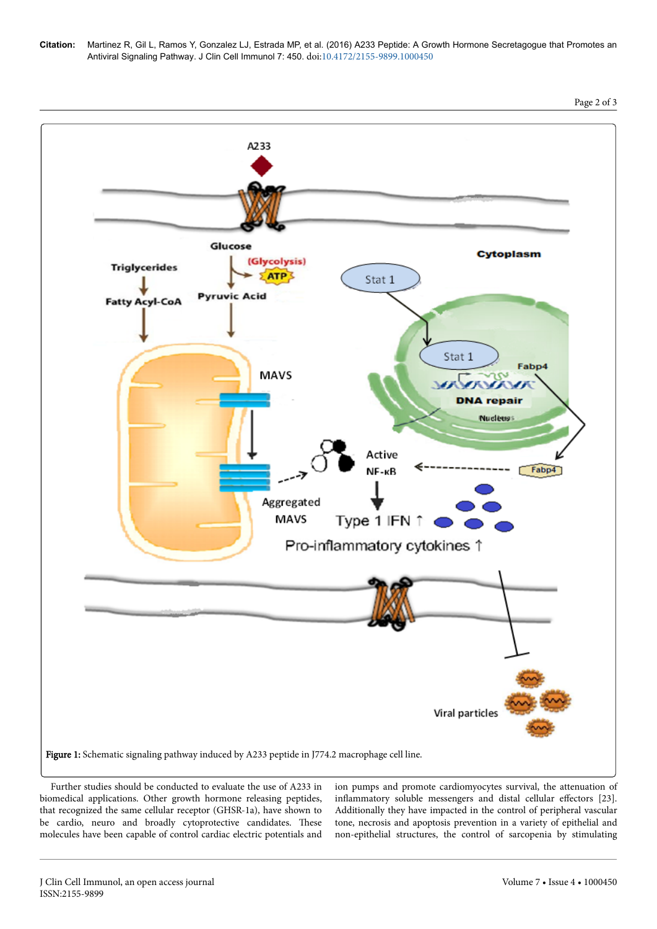



Further studies should be conducted to evaluate the use of A233 in biomedical applications. Other growth hormone releasing peptides, that recognized the same cellular receptor (GHSR-1a), have shown to be cardio, neuro and broadly cytoprotective candidates. Нese molecules have been capable of control cardiac electric potentials and ion pumps and promote cardiomyocytes survival, the attenuation of inflammatory soluble messengers and distal cellular effectors [23]. Additionally they have impacted in the control of peripheral vascular tone, necrosis and apoptosis prevention in a variety of epithelial and non-epithelial structures, the control of sarcopenia by stimulating